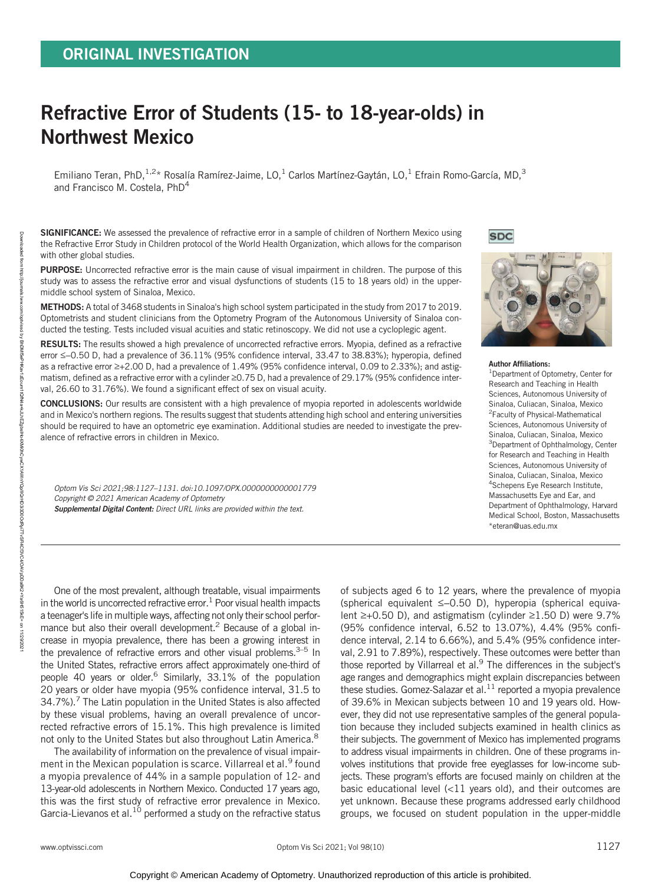# Refractive Error of Students (15- to 18-year-olds) in Northwest Mexico

Emiliano Teran, PhD,<sup>1,2\*</sup> Rosalía Ramírez-Jaime, LO,<sup>1</sup> Carlos Martínez-Gaytán, LO,<sup>1</sup> Efrain Romo-García, MD,<sup>3</sup> and Francisco M. Costela, PhD4

SIGNIFICANCE: We assessed the prevalence of refractive error in a sample of children of Northern Mexico using the Refractive Error Study in Children protocol of the World Health Organization, which allows for the comparison with other global studies.

PURPOSE: Uncorrected refractive error is the main cause of visual impairment in children. The purpose of this study was to assess the refractive error and visual dysfunctions of students (15 to 18 years old) in the uppermiddle school system of Sinaloa, Mexico.

METHODS: A total of 3468 students in Sinaloa's high school system participated in the study from 2017 to 2019. Optometrists and student clinicians from the Optometry Program of the Autonomous University of Sinaloa conducted the testing. Tests included visual acuities and static retinoscopy. We did not use a cycloplegic agent.

RESULTS: The results showed a high prevalence of uncorrected refractive errors. Myopia, defined as a refractive error ≤−0.50 D, had a prevalence of 36.11% (95% confidence interval, 33.47 to 38.83%); hyperopia, defined as a refractive error ≥+2.00 D, had a prevalence of 1.49% (95% confidence interval, 0.09 to 2.33%); and astigmatism, defined as a refractive error with a cylinder ≥0.75 D, had a prevalence of 29.17% (95% confidence interval, 26.60 to 31.76%). We found a significant effect of sex on visual acuity.

CONCLUSIONS: Our results are consistent with a high prevalence of myopia reported in adolescents worldwide and in Mexico's northern regions. The results suggest that students attending high school and entering universities should be required to have an optometric eye examination. Additional studies are needed to investigate the prevalence of refractive errors in children in Mexico.

Optom Vis Sci 2021;98:1127–1131. doi:10.1097/OPX.0000000000001779 Copyright © 2021 American Academy of Optometry Supplemental Digital Content: Direct URL links are provided within the text.

**SDC** 



Author Affiliations:

1 Department of Optometry, Center for Research and Teaching in Health Sciences, Autonomous University of Sinaloa, Culiacan, Sinaloa, Mexico 2 Faculty of Physical-Mathematical Sciences, Autonomous University of Sinaloa, Culiacan, Sinaloa, Mexico <sup>3</sup>Department of Ophthalmology, Center for Research and Teaching in Health Sciences, Autonomous University of Sinaloa, Culiacan, Sinaloa, Mexico 4 Schepens Eye Research Institute, Massachusetts Eye and Ear, and Department of Ophthalmology, Harvard Medical School, Boston, Massachusetts \*eteran@uas.edu.mx

One of the most prevalent, although treatable, visual impairments in the world is uncorrected refractive error.<sup>1</sup> Poor visual health impacts a teenager's life in multiple ways, affecting not only their school performance but also their overall development.<sup>2</sup> Because of a global increase in myopia prevalence, there has been a growing interest in the prevalence of refractive errors and other visual problems. $3-5$  In the United States, refractive errors affect approximately one-third of people 40 years or older.<sup>6</sup> Similarly, 33.1% of the population 20 years or older have myopia (95% confidence interval, 31.5 to  $34.7\%$ ).<sup>7</sup> The Latin population in the United States is also affected by these visual problems, having an overall prevalence of uncorrected refractive errors of 15.1%. This high prevalence is limited not only to the United States but also throughout Latin America.<sup>8</sup>

The availability of information on the prevalence of visual impairment in the Mexican population is scarce. Villarreal et al.<sup>9</sup> found a myopia prevalence of 44% in a sample population of 12- and 13-year-old adolescents in Northern Mexico. Conducted 17 years ago, this was the first study of refractive error prevalence in Mexico. Garcia-Lievanos et al. $^{10}$  performed a study on the refractive status of subjects aged 6 to 12 years, where the prevalence of myopia (spherical equivalent ≤−0.50 D), hyperopia (spherical equivalent ≥+0.50 D), and astigmatism (cylinder ≥1.50 D) were 9.7% (95% confidence interval, 6.52 to 13.07%), 4.4% (95% confidence interval, 2.14 to 6.66%), and 5.4% (95% confidence interval, 2.91 to 7.89%), respectively. These outcomes were better than those reported by Villarreal et al.<sup>9</sup> The differences in the subject's age ranges and demographics might explain discrepancies between these studies. Gomez-Salazar et al.<sup>11</sup> reported a myopia prevalence of 39.6% in Mexican subjects between 10 and 19 years old. However, they did not use representative samples of the general population because they included subjects examined in health clinics as their subjects. The government of Mexico has implemented programs to address visual impairments in children. One of these programs involves institutions that provide free eyeglasses for low-income subjects. These program's efforts are focused mainly on children at the basic educational level (<11 years old), and their outcomes are yet unknown. Because these programs addressed early childhood groups, we focused on student population in the upper-middle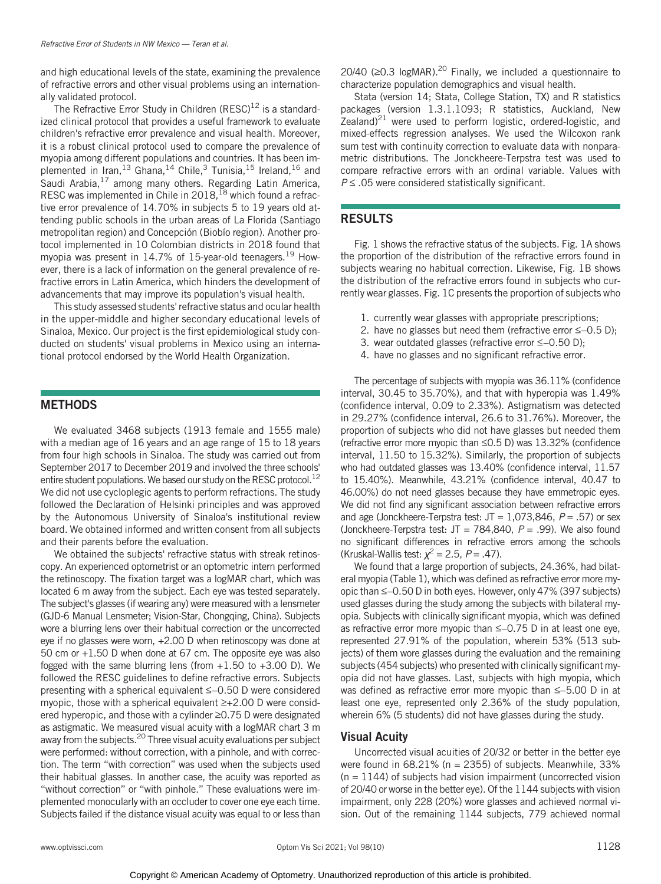and high educational levels of the state, examining the prevalence of refractive errors and other visual problems using an internationally validated protocol.

The Refractive Error Study in Children  $(RESC)^{12}$  is a standardized clinical protocol that provides a useful framework to evaluate children's refractive error prevalence and visual health. Moreover, it is a robust clinical protocol used to compare the prevalence of myopia among different populations and countries. It has been implemented in Iran,<sup>13</sup> Ghana,<sup>14</sup> Chile,<sup>3</sup> Tunisia,<sup>15</sup> Ireland,<sup>16</sup> and Saudi Arabia,<sup>17</sup> among many others. Regarding Latin America, RESC was implemented in Chile in 2018,<sup>18</sup> which found a refractive error prevalence of 14.70% in subjects 5 to 19 years old attending public schools in the urban areas of La Florida (Santiago metropolitan region) and Concepción (Biobío region). Another protocol implemented in 10 Colombian districts in 2018 found that myopia was present in 14.7% of 15-year-old teenagers.<sup>19</sup> However, there is a lack of information on the general prevalence of refractive errors in Latin America, which hinders the development of advancements that may improve its population's visual health.

This study assessed students' refractive status and ocular health in the upper-middle and higher secondary educational levels of Sinaloa, Mexico. Our project is the first epidemiological study conducted on students' visual problems in Mexico using an international protocol endorsed by the World Health Organization.

# **METHODS**

We evaluated 3468 subjects (1913 female and 1555 male) with a median age of 16 years and an age range of 15 to 18 years from four high schools in Sinaloa. The study was carried out from September 2017 to December 2019 and involved the three schools' entire student populations. We based our study on the RESC protocol.<sup>12</sup> We did not use cycloplegic agents to perform refractions. The study followed the Declaration of Helsinki principles and was approved by the Autonomous University of Sinaloa's institutional review board. We obtained informed and written consent from all subjects and their parents before the evaluation.

We obtained the subjects' refractive status with streak retinoscopy. An experienced optometrist or an optometric intern performed the retinoscopy. The fixation target was a logMAR chart, which was located 6 m away from the subject. Each eye was tested separately. The subject's glasses (if wearing any) were measured with a lensmeter (GJD-6 Manual Lensmeter; Vision-Star, Chongqing, China). Subjects wore a blurring lens over their habitual correction or the uncorrected eye if no glasses were worn, +2.00 D when retinoscopy was done at 50 cm or +1.50 D when done at 67 cm. The opposite eye was also fogged with the same blurring lens (from  $+1.50$  to  $+3.00$  D). We followed the RESC guidelines to define refractive errors. Subjects presenting with a spherical equivalent ≤−0.50 D were considered myopic, those with a spherical equivalent ≥+2.00 D were considered hyperopic, and those with a cylinder ≥0.75 D were designated as astigmatic. We measured visual acuity with a logMAR chart 3 m away from the subjects.<sup>20</sup> Three visual acuity evaluations per subject were performed: without correction, with a pinhole, and with correction. The term "with correction" was used when the subjects used their habitual glasses. In another case, the acuity was reported as "without correction" or "with pinhole." These evaluations were implemented monocularly with an occluder to cover one eye each time. Subjects failed if the distance visual acuity was equal to or less than

20/40 (≥0.3 logMAR).<sup>20</sup> Finally, we included a questionnaire to characterize population demographics and visual health.

Stata (version 14; Stata, College Station, TX) and R statistics packages (version 1.3.1.1093; R statistics, Auckland, New Zealand)<sup>21</sup> were used to perform logistic, ordered-logistic, and mixed-effects regression analyses. We used the Wilcoxon rank sum test with continuity correction to evaluate data with nonparametric distributions. The Jonckheere-Terpstra test was used to compare refractive errors with an ordinal variable. Values with  $P \leq .05$  were considered statistically significant.

# RESULTS

Fig. 1 shows the refractive status of the subjects. Fig. 1A shows the proportion of the distribution of the refractive errors found in subjects wearing no habitual correction. Likewise, Fig. 1B shows the distribution of the refractive errors found in subjects who currently wear glasses. Fig. 1C presents the proportion of subjects who

- 1. currently wear glasses with appropriate prescriptions;
- 2. have no glasses but need them (refractive error ≤–0.5 D);
- 3. wear outdated glasses (refractive error ≤−0.50 D);
- 4. have no glasses and no significant refractive error.

The percentage of subjects with myopia was 36.11% (confidence interval, 30.45 to 35.70%), and that with hyperopia was 1.49% (confidence interval, 0.09 to 2.33%). Astigmatism was detected in 29.27% (confidence interval, 26.6 to 31.76%). Moreover, the proportion of subjects who did not have glasses but needed them (refractive error more myopic than ≤0.5 D) was 13.32% (confidence interval, 11.50 to 15.32%). Similarly, the proportion of subjects who had outdated glasses was 13.40% (confidence interval, 11.57 to 15.40%). Meanwhile, 43.21% (confidence interval, 40.47 to 46.00%) do not need glasses because they have emmetropic eyes. We did not find any significant association between refractive errors and age (Jonckheere-Terpstra test:  $JT = 1,073,846$ ,  $P = .57$ ) or sex (Jonckheere-Terpstra test: JT = 784,840,  $P = .99$ ). We also found no significant differences in refractive errors among the schools (Kruskal-Wallis test:  $\chi^2$  = 2.5, P = .47).

We found that a large proportion of subjects, 24.36%, had bilateral myopia (Table 1), which was defined as refractive error more myopic than ≤−0.50 D in both eyes. However, only 47% (397 subjects) used glasses during the study among the subjects with bilateral myopia. Subjects with clinically significant myopia, which was defined as refractive error more myopic than ≤−0.75 D in at least one eye, represented 27.91% of the population, wherein 53% (513 subjects) of them wore glasses during the evaluation and the remaining subjects (454 subjects) who presented with clinically significant myopia did not have glasses. Last, subjects with high myopia, which was defined as refractive error more myopic than ≤−5.00 D in at least one eye, represented only 2.36% of the study population, wherein 6% (5 students) did not have glasses during the study.

# Visual Acuity

Uncorrected visual acuities of 20/32 or better in the better eye were found in 68.21% (n = 2355) of subjects. Meanwhile, 33%  $(n = 1144)$  of subjects had vision impairment (uncorrected vision of 20/40 or worse in the better eye). Of the 1144 subjects with vision impairment, only 228 (20%) wore glasses and achieved normal vision. Out of the remaining 1144 subjects, 779 achieved normal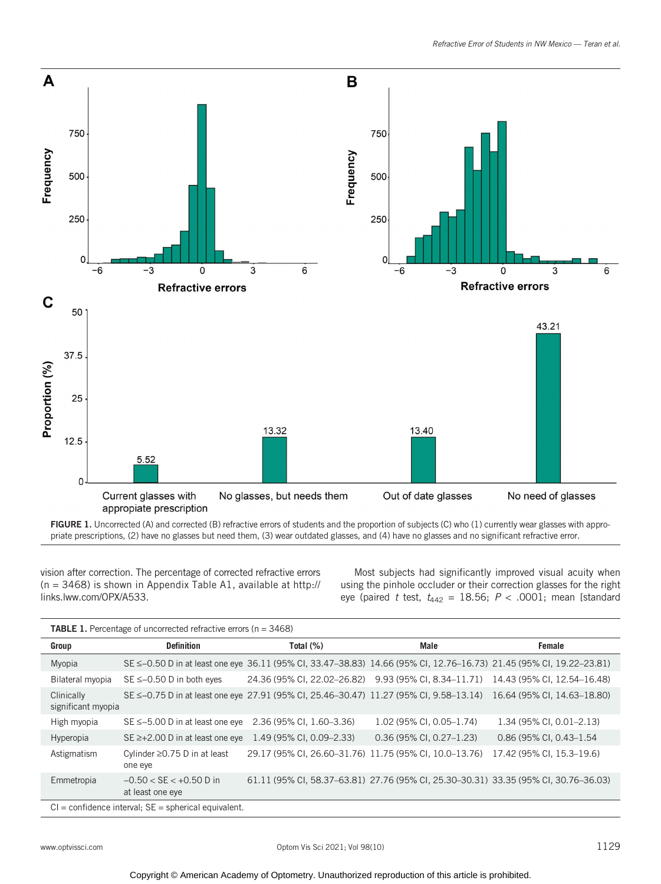

FIGURE 1. Uncorrected (A) and corrected (B) refractive errors of students and the proportion of subjects (C) who (1) currently wear glasses with appropriate prescriptions, (2) have no glasses but need them, (3) wear outdated glasses, and (4) have no glasses and no significant refractive error.

vision after correction. The percentage of corrected refractive errors (n = 3468) is shown in Appendix Table A1, available at http:// links.lww.com/OPX/A533.

Most subjects had significantly improved visual acuity when using the pinhole occluder or their correction glasses for the right eye (paired t test,  $t_{442} = 18.56$ ;  $P < .0001$ ; mean [standard

| Group                                                    | <b>Definition</b>                                            | Total (%)                                                                                                           | Male                       | Female                                                                              |
|----------------------------------------------------------|--------------------------------------------------------------|---------------------------------------------------------------------------------------------------------------------|----------------------------|-------------------------------------------------------------------------------------|
| Myopia                                                   |                                                              | SE ≤-0.50 D in at least one eye 36.11 (95% Cl, 33.47–38.83) 14.66 (95% Cl, 12.76–16.73) 21.45 (95% Cl, 19.22–23.81) |                            |                                                                                     |
| Bilateral myopia                                         | $SE \le -0.50$ D in both eyes                                |                                                                                                                     |                            | 24.36 (95% Cl, 22.02–26.82) 9.93 (95% Cl, 8.34–11.71) 14.43 (95% Cl, 12.54–16.48)   |
| Clinically<br>significant myopia                         |                                                              | SE $\leq$ -0.75 D in at least one eye 27.91 (95% CI, 25.46–30.47) 11.27 (95% CI, 9.58–13.14)                        |                            | 16.64 (95% CI, 14.63–18.80)                                                         |
| High myopia                                              | $SE \le -5.00$ D in at least one eye                         | 2.36 (95% CI, 1.60–3.36)                                                                                            | 1.02 (95% CI, 0.05-1.74)   | 1.34 (95% CI, 0.01-2.13)                                                            |
| Hyperopia                                                | $SE \ge +2.00$ D in at least one eye                         | 1.49 (95% CI, 0.09-2.33)                                                                                            | $0.36$ (95% CI, 0.27-1.23) | 0.86 (95% CI, 0.43-1.54)                                                            |
| Astigmatism                                              | Cylinder $\geq$ 0.75 D in at least<br>one eye                | 29.17 (95% CI, 26.60–31.76) 11.75 (95% CI, 10.0–13.76)                                                              |                            | 17.42 (95% CI, 15.3-19.6)                                                           |
| Emmetropia                                               | $-0.50 < \text{SE} < +0.50 \text{ D}$ in<br>at least one eye |                                                                                                                     |                            | 61.11 (95% CI, 58.37–63.81) 27.76 (95% CI, 25.30–30.31) 33.35 (95% CI, 30.76–36.03) |
| $Cl =$ confidence interval; $SE =$ spherical equivalent. |                                                              |                                                                                                                     |                            |                                                                                     |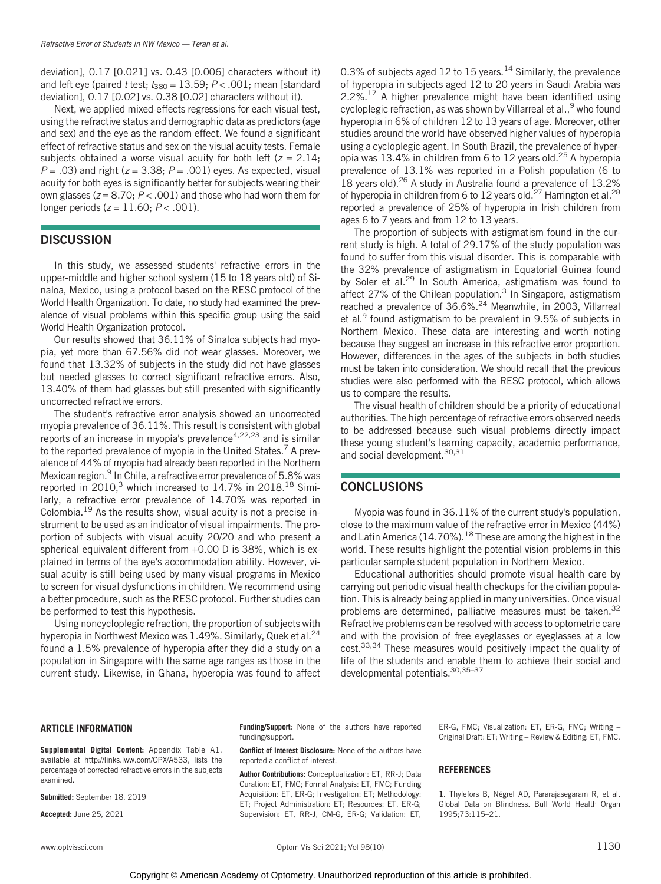deviation], 0.17 [0.021] vs. 0.43 [0.006] characters without it) and left eye (paired t test;  $t_{380} = 13.59$ ;  $P < .001$ ; mean [standard deviation], 0.17 [0.02] vs. 0.38 [0.02] characters without it).

Next, we applied mixed-effects regressions for each visual test, using the refractive status and demographic data as predictors (age and sex) and the eye as the random effect. We found a significant effect of refractive status and sex on the visual acuity tests. Female subjects obtained a worse visual acuity for both left ( $z = 2.14$ ;  $P = .03$ ) and right ( $z = 3.38$ ;  $P = .001$ ) eyes. As expected, visual acuity for both eyes is significantly better for subjects wearing their own glasses ( $z = 8.70$ ;  $P < .001$ ) and those who had worn them for longer periods ( $z = 11.60$ ;  $P < .001$ ).

# **DISCUSSION**

In this study, we assessed students' refractive errors in the upper-middle and higher school system (15 to 18 years old) of Sinaloa, Mexico, using a protocol based on the RESC protocol of the World Health Organization. To date, no study had examined the prevalence of visual problems within this specific group using the said World Health Organization protocol.

Our results showed that 36.11% of Sinaloa subjects had myopia, yet more than 67.56% did not wear glasses. Moreover, we found that 13.32% of subjects in the study did not have glasses but needed glasses to correct significant refractive errors. Also, 13.40% of them had glasses but still presented with significantly uncorrected refractive errors.

The student's refractive error analysis showed an uncorrected myopia prevalence of 36.11%. This result is consistent with global reports of an increase in myopia's prevalence<sup>4,22,23</sup> and is similar to the reported prevalence of myopia in the United States.<sup>7</sup> A prevalence of 44% of myopia had already been reported in the Northern Mexican region.<sup>9</sup> In Chile, a refractive error prevalence of 5.8% was reported in 2010,<sup>3</sup> which increased to 14.7% in 2018.<sup>18</sup> Similarly, a refractive error prevalence of 14.70% was reported in Colombia.19 As the results show, visual acuity is not a precise instrument to be used as an indicator of visual impairments. The proportion of subjects with visual acuity 20/20 and who present a spherical equivalent different from +0.00 D is 38%, which is explained in terms of the eye's accommodation ability. However, visual acuity is still being used by many visual programs in Mexico to screen for visual dysfunctions in children. We recommend using a better procedure, such as the RESC protocol. Further studies can be performed to test this hypothesis.

Using noncycloplegic refraction, the proportion of subjects with hyperopia in Northwest Mexico was 1.49%. Similarly, Quek et al.<sup>24</sup> found a 1.5% prevalence of hyperopia after they did a study on a population in Singapore with the same age ranges as those in the current study. Likewise, in Ghana, hyperopia was found to affect 0.3% of subjects aged 12 to 15 years.<sup>14</sup> Similarly, the prevalence of hyperopia in subjects aged 12 to 20 years in Saudi Arabia was 2.2%.17 A higher prevalence might have been identified using cycloplegic refraction, as was shown by Villarreal et al.,<sup>9</sup> who found hyperopia in 6% of children 12 to 13 years of age. Moreover, other studies around the world have observed higher values of hyperopia using a cycloplegic agent. In South Brazil, the prevalence of hyperopia was 13.4% in children from 6 to 12 years old.25 A hyperopia prevalence of 13.1% was reported in a Polish population (6 to 18 years old).<sup>26</sup> A study in Australia found a prevalence of 13.2% of hyperopia in children from 6 to 12 years old.<sup>27</sup> Harrington et al.<sup>28</sup> reported a prevalence of 25% of hyperopia in Irish children from ages 6 to 7 years and from 12 to 13 years.

The proportion of subjects with astigmatism found in the current study is high. A total of 29.17% of the study population was found to suffer from this visual disorder. This is comparable with the 32% prevalence of astigmatism in Equatorial Guinea found by Soler et al.<sup>29</sup> In South America, astigmatism was found to affect 27% of the Chilean population.<sup>3</sup> In Singapore, astigmatism reached a prevalence of 36.6%.<sup>24</sup> Meanwhile, in 2003, Villarreal et al.<sup>9</sup> found astigmatism to be prevalent in 9.5% of subjects in Northern Mexico. These data are interesting and worth noting because they suggest an increase in this refractive error proportion. However, differences in the ages of the subjects in both studies must be taken into consideration. We should recall that the previous studies were also performed with the RESC protocol, which allows us to compare the results.

The visual health of children should be a priority of educational authorities. The high percentage of refractive errors observed needs to be addressed because such visual problems directly impact these young student's learning capacity, academic performance, and social development.<sup>30,31</sup>

### **CONCLUSIONS**

Myopia was found in 36.11% of the current study's population, close to the maximum value of the refractive error in Mexico (44%) and Latin America (14.70%).<sup>18</sup> These are among the highest in the world. These results highlight the potential vision problems in this particular sample student population in Northern Mexico.

Educational authorities should promote visual health care by carrying out periodic visual health checkups for the civilian population. This is already being applied in many universities. Once visual problems are determined, palliative measures must be taken.<sup>32</sup> Refractive problems can be resolved with access to optometric care and with the provision of free eyeglasses or eyeglasses at a low cost.33,34 These measures would positively impact the quality of life of the students and enable them to achieve their social and developmental potentials. 30, 35-37

#### ARTICLE INFORMATION

Supplemental Digital Content: Appendix Table A1, available at http://links.lww.com/OPX/A533, lists the percentage of corrected refractive errors in the subjects examined.

Submitted: September 18, 2019

Accepted: June 25, 2021

Funding/Support: None of the authors have reported funding/support.

Conflict of Interest Disclosure: None of the authors have reported a conflict of interest.

Author Contributions: Conceptualization: ET, RR-J; Data Curation: ET, FMC; Formal Analysis: ET, FMC; Funding Acquisition: ET, ER-G; Investigation: ET; Methodology: ET; Project Administration: ET; Resources: ET, ER-G; Supervision: ET, RR-J, CM-G, ER-G; Validation: ET, ER-G, FMC; Visualization: ET, ER-G, FMC; Writing – Original Draft: ET; Writing – Review & Editing: ET, FMC.

#### **REFERENCES**

1. Thylefors B, Négrel AD, Pararajasegaram R, et al. Global Data on Blindness. Bull World Health Organ 1995;73:115–21.